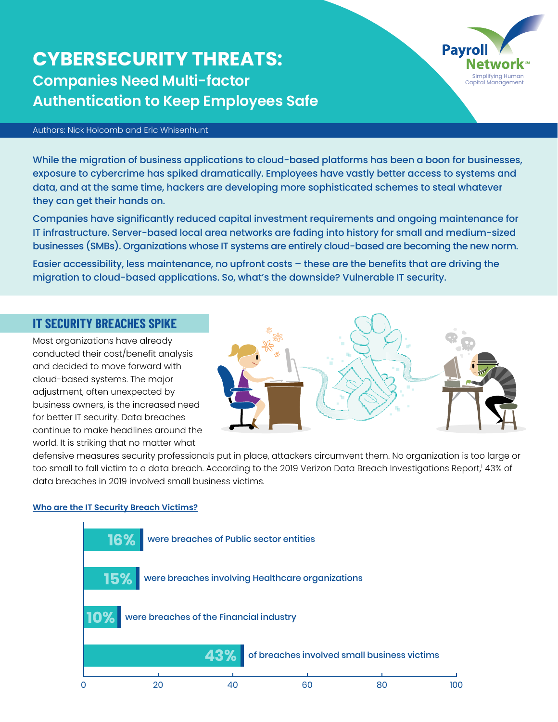## **CYBERSECURITY THREATS: Companies Need Multi-factor Authentication to Keep Employees Safe**



While the migration of business applications to cloud-based platforms has been a boon for businesses, exposure to cybercrime has spiked dramatically. Employees have vastly better access to systems and data, and at the same time, hackers are developing more sophisticated schemes to steal whatever they can get their hands on.

Companies have significantly reduced capital investment requirements and ongoing maintenance for IT infrastructure. Server-based local area networks are fading into history for small and medium-sized businesses (SMBs). Organizations whose IT systems are entirely cloud-based are becoming the new norm.

Easier accessibility, less maintenance, no upfront costs – these are the benefits that are driving the migration to cloud-based applications. So, what's the downside? Vulnerable IT security.

### **IT SECURITY BREACHES SPIKE**

Most organizations have already conducted their cost/benefit analysis and decided to move forward with cloud-based systems. The major adjustment, often unexpected by business owners, is the increased need for better IT security. Data breaches continue to make headlines around the world. It is striking that no matter what



Simplifying Human Capital Management

**Pavrol** 

defensive measures security professionals put in place, attackers circumvent them. No organization is too large or too small to fall victim to a data breach. According to the 2019 Verizon Data Breach Investigations Report,' 43% of data breaches in 2019 involved small business victims.

#### **Who are the IT Security Breach Victims?**

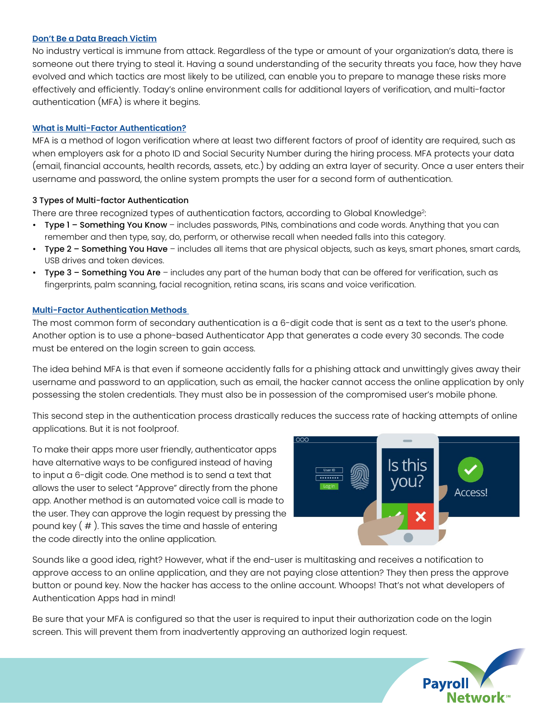#### **Don't Be a Data Breach Victim**

No industry vertical is immune from attack. Regardless of the type or amount of your organization's data, there is someone out there trying to steal it. Having a sound understanding of the security threats you face, how they have evolved and which tactics are most likely to be utilized, can enable you to prepare to manage these risks more effectively and efficiently. Today's online environment calls for additional layers of verification, and multi-factor authentication (MFA) is where it begins.

#### **What is Multi-Factor Authentication?**

MFA is a method of logon verification where at least two different factors of proof of identity are required, such as when employers ask for a photo ID and Social Security Number during the hiring process. MFA protects your data (email, financial accounts, health records, assets, etc.) by adding an extra layer of security. Once a user enters their username and password, the online system prompts the user for a second form of authentication.

#### 3 Types of Multi-factor Authentication

There are three recognized types of authentication factors, according to Global Knowledge<sup>2</sup>:

- Type 1 Something You Know includes passwords, PINs, combinations and code words. Anything that you can remember and then type, say, do, perform, or otherwise recall when needed falls into this category.
- Type 2 Something You Have includes all items that are physical objects, such as keys, smart phones, smart cards, USB drives and token devices.
- Type 3 Something You Are includes any part of the human body that can be offered for verification, such as fingerprints, palm scanning, facial recognition, retina scans, iris scans and voice verification.

#### **Multi-Factor Authentication Methods**

The most common form of secondary authentication is a 6-digit code that is sent as a text to the user's phone. Another option is to use a phone-based Authenticator App that generates a code every 30 seconds. The code must be entered on the login screen to gain access.

The idea behind MFA is that even if someone accidently falls for a phishing attack and unwittingly gives away their username and password to an application, such as email, the hacker cannot access the online application by only possessing the stolen credentials. They must also be in possession of the compromised user's mobile phone.

This second step in the authentication process drastically reduces the success rate of hacking attempts of online applications. But it is not foolproof.

To make their apps more user friendly, authenticator apps have alternative ways to be configured instead of having to input a 6-digit code. One method is to send a text that allows the user to select "Approve" directly from the phone app. Another method is an automated voice call is made to the user. They can approve the login request by pressing the pound key  $( # )$ . This saves the time and hassle of entering the code directly into the online application.



Sounds like a good idea, right? However, what if the end-user is multitasking and receives a notification to approve access to an online application, and they are not paying close attention? They then press the approve button or pound key. Now the hacker has access to the online account. Whoops! That's not what developers of Authentication Apps had in mind!

Be sure that your MFA is configured so that the user is required to input their authorization code on the login screen. This will prevent them from inadvertently approving an authorized login request.